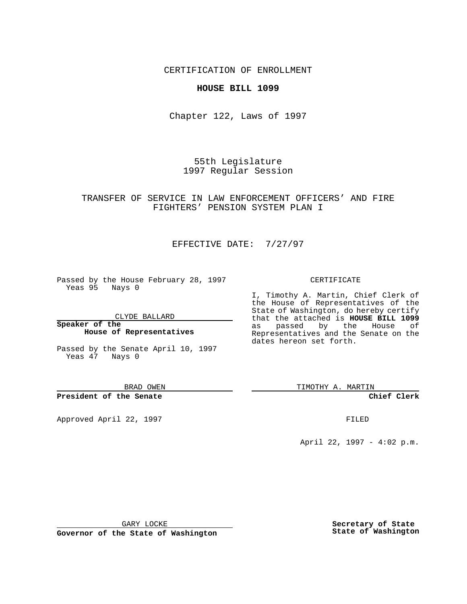## CERTIFICATION OF ENROLLMENT

## **HOUSE BILL 1099**

Chapter 122, Laws of 1997

55th Legislature 1997 Regular Session

## TRANSFER OF SERVICE IN LAW ENFORCEMENT OFFICERS' AND FIRE FIGHTERS' PENSION SYSTEM PLAN I

# EFFECTIVE DATE: 7/27/97

Passed by the House February 28, 1997 Yeas 95 Nays 0

CLYDE BALLARD

#### **Speaker of the House of Representatives**

Passed by the Senate April 10, 1997 Yeas 47 Nays 0

#### BRAD OWEN

### **President of the Senate**

Approved April 22, 1997 **FILED** 

#### CERTIFICATE

I, Timothy A. Martin, Chief Clerk of the House of Representatives of the State of Washington, do hereby certify that the attached is **HOUSE BILL 1099** as passed by the House of Representatives and the Senate on the dates hereon set forth.

TIMOTHY A. MARTIN

### **Chief Clerk**

April 22, 1997 - 4:02 p.m.

GARY LOCKE

**Governor of the State of Washington**

**Secretary of State State of Washington**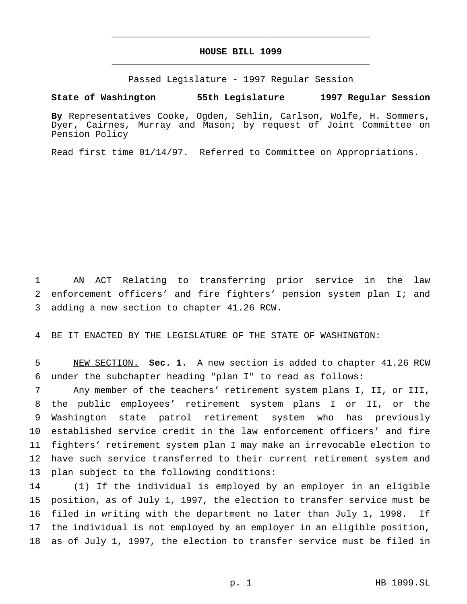# **HOUSE BILL 1099** \_\_\_\_\_\_\_\_\_\_\_\_\_\_\_\_\_\_\_\_\_\_\_\_\_\_\_\_\_\_\_\_\_\_\_\_\_\_\_\_\_\_\_\_\_\_\_

\_\_\_\_\_\_\_\_\_\_\_\_\_\_\_\_\_\_\_\_\_\_\_\_\_\_\_\_\_\_\_\_\_\_\_\_\_\_\_\_\_\_\_\_\_\_\_

Passed Legislature - 1997 Regular Session

#### **State of Washington 55th Legislature 1997 Regular Session**

**By** Representatives Cooke, Ogden, Sehlin, Carlson, Wolfe, H. Sommers, Dyer, Cairnes, Murray and Mason; by request of Joint Committee on Pension Policy

Read first time 01/14/97. Referred to Committee on Appropriations.

 AN ACT Relating to transferring prior service in the law enforcement officers' and fire fighters' pension system plan I; and adding a new section to chapter 41.26 RCW.

BE IT ENACTED BY THE LEGISLATURE OF THE STATE OF WASHINGTON:

 NEW SECTION. **Sec. 1.** A new section is added to chapter 41.26 RCW under the subchapter heading "plan I" to read as follows:

 Any member of the teachers' retirement system plans I, II, or III, the public employees' retirement system plans I or II, or the Washington state patrol retirement system who has previously established service credit in the law enforcement officers' and fire fighters' retirement system plan I may make an irrevocable election to have such service transferred to their current retirement system and plan subject to the following conditions:

 (1) If the individual is employed by an employer in an eligible position, as of July 1, 1997, the election to transfer service must be filed in writing with the department no later than July 1, 1998. If the individual is not employed by an employer in an eligible position, as of July 1, 1997, the election to transfer service must be filed in